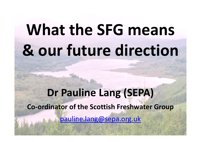# **What the SFG means & our future direction**

### **Dr Pauline Lang (SEPA)Co-ordinator of the Scottish Freshwater Group**pauline.lang@sepa.org.uk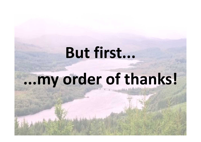## **But first...**

## **...my order of thanks!**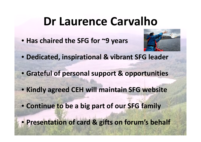### **Dr Laurence Carvalho**

• **Has chaired the SFG for ~9 years**



- **Dedicated, inspirational & vibrant SFG leader**
- **Grateful of personal support & opportunities**
- **Kindly agreed CEH will maintain SFG website**
- **Continue to be a big part of our SFG family**
- **Presentation of card & gifts on forum's behalf**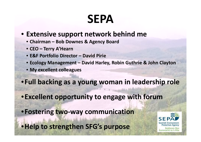### **SEPA**

#### • **Extensive support network behind me**

- **Chairman – Bob Downes & Agency Board**
- **CEO – Terry A'Hearn**
- **E&F Portfolio Director – David Pirie**
- **Ecology Management – David Harley, Robin Guthrie & John Clayton**
- **My excellent colleagues**
- •**Full backing as a young woman in leadership role**
- •**Excellent opportunity to engage with forum**
- •**Fostering two-way communication**
- •**Help to strengthen SFG's purpose**

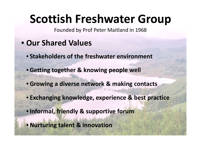### **Scottish Freshwater Group**

Founded by Prof Peter Maitland in 1968

- **Our Shared Values**
	- **Stakeholders of the freshwater environment**
	- **Getting together & knowing people well**
	- **Growing a diverse network & making contacts**
	- **Exchanging knowledge, experience & best practice**
	- •**Informal, friendly & supportive forum**
	- **Nurturing talent & innovation**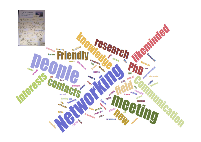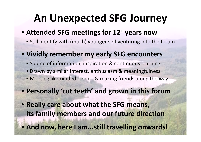#### **An Unexpected SFG Journey**

#### • **Attended SFG meetings for 12+ years now**

- Still identify with (much) younger self venturing into the forum
- **Vividly remember my early SFG encounters**
	- Source of information, inspiration & continuous learning
	- Drawn by similar interest, enthusiasm & meaningfulness
	- Meeting likeminded people & making friends along the way
- **Personally 'cut teeth' and grown in this forum**
- **Really care about what the SFG means, its family members and our future direction**
- **And now, here I am...still travelling onwards!**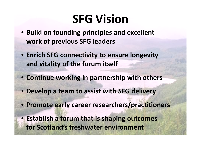### **SFG Vision**

- **Build on founding principles and excellent work of previous SFG leaders**
- **Enrich SFG connectivity to ensure longevity and vitality of the forum itself**
- **Continue working in partnership with others**
- **Develop a team to assist with SFG delivery**
- **Promote early career researchers/practitioners**
- **Establish a forum that is shaping outcomes for Scotland's freshwater environment**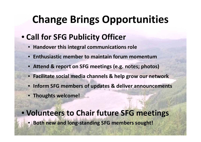### **Change Brings Opportunities**

- **Call for SFG Publicity Officer**
	- **Handover this integral communications role**
	- **Enthusiastic member to maintain forum momentum**
	- **Attend & report on SFG meetings (e.g. notes; photos)**
	- **Facilitate social media channels & help grow our network**
	- **Inform SFG members of updates & deliver announcements**
	- **Thoughts welcome!**

• **Volunteers to Chair future SFG meetings**• **Both new and long-standing SFG members sought!**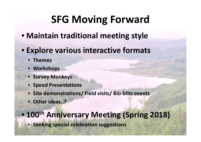### **SFG Moving Forward**

- **Maintain traditional meeting style**
- **Explore various interactive formats**
	- **Themes**
	- **Workshops**
	- **Survey Monkeys**
	- **Speed Presentations**
	- **Site demonstrations/ Field visits/ Bio-blitz events**
	- **Other ideas..?**

#### $\bullet$ **<sup>100</sup>th Anniversary Meeting (Spring 2018)**

• **Seeking special celebration suggestions**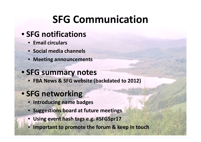#### **SFG Communication**

#### • **SFG notifications**

- **Email circulars**
- **Social media channels**
- **Meeting announcements**

#### • **SFG summary notes**

• **FBA News & SFG website (backdated to 2012)**

#### • **SFG networking**

- **Introducing name badges**
- **Suggestions board at future meetings**
- •**Using event hash tags e.g. #SFGSpr17**
- •**Important to promote the forum & keep in touch**